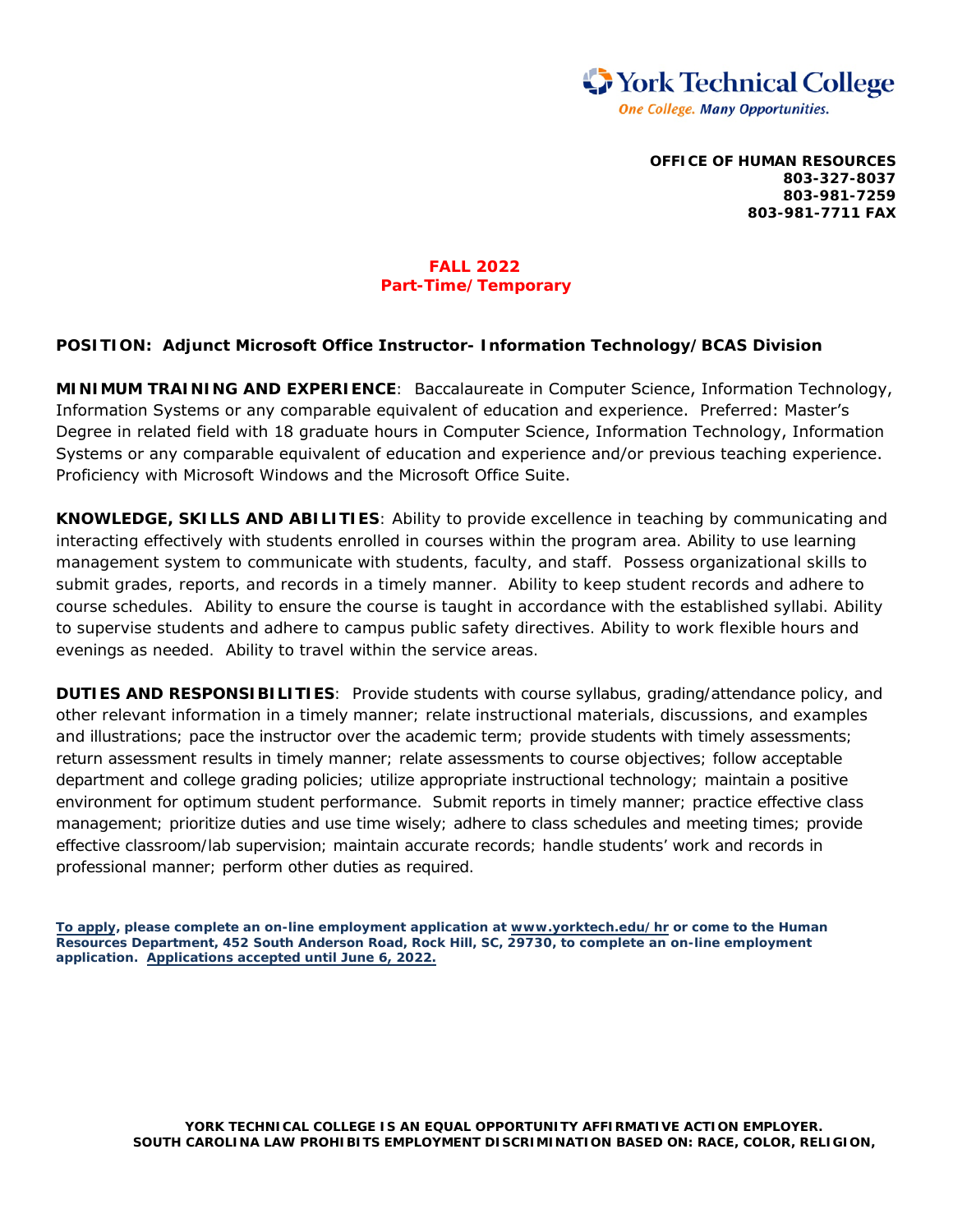

**OFFICE OF HUMAN RESOURCES 803-327-8037 803-981-7259 803-981-7711 FAX**

## **FALL 2022 Part-Time/Temporary**

## **POSITION: Adjunct Microsoft Office Instructor- Information Technology/BCAS Division**

**MINIMUM TRAINING AND EXPERIENCE**: Baccalaureate in Computer Science, Information Technology, Information Systems or any comparable equivalent of education and experience. Preferred: Master's Degree in related field with 18 graduate hours in Computer Science, Information Technology, Information Systems or any comparable equivalent of education and experience and/or previous teaching experience. Proficiency with Microsoft Windows and the Microsoft Office Suite.

**KNOWLEDGE, SKILLS AND ABILITIES**: Ability to provide excellence in teaching by communicating and interacting effectively with students enrolled in courses within the program area. Ability to use learning management system to communicate with students, faculty, and staff. Possess organizational skills to submit grades, reports, and records in a timely manner. Ability to keep student records and adhere to course schedules. Ability to ensure the course is taught in accordance with the established syllabi. Ability to supervise students and adhere to campus public safety directives. Ability to work flexible hours and evenings as needed. Ability to travel within the service areas.

**DUTIES AND RESPONSIBILITIES**: Provide students with course syllabus, grading/attendance policy, and other relevant information in a timely manner; relate instructional materials, discussions, and examples and illustrations; pace the instructor over the academic term; provide students with timely assessments; return assessment results in timely manner; relate assessments to course objectives; follow acceptable department and college grading policies; utilize appropriate instructional technology; maintain a positive environment for optimum student performance. Submit reports in timely manner; practice effective class management; prioritize duties and use time wisely; adhere to class schedules and meeting times; provide effective classroom/lab supervision; maintain accurate records; handle students' work and records in professional manner; perform other duties as required.

**To apply, please complete an on-line employment application at www.yorktech.edu/hr or come to the Human Resources Department, 452 South Anderson Road, Rock Hill, SC, 29730, to complete an on-line employment application. Applications accepted until June 6, 2022.** 

**YORK TECHNICAL COLLEGE IS AN EQUAL OPPORTUNITY AFFIRMATIVE ACTION EMPLOYER. SOUTH CAROLINA LAW PROHIBITS EMPLOYMENT DISCRIMINATION BASED ON: RACE, COLOR, RELIGION,**